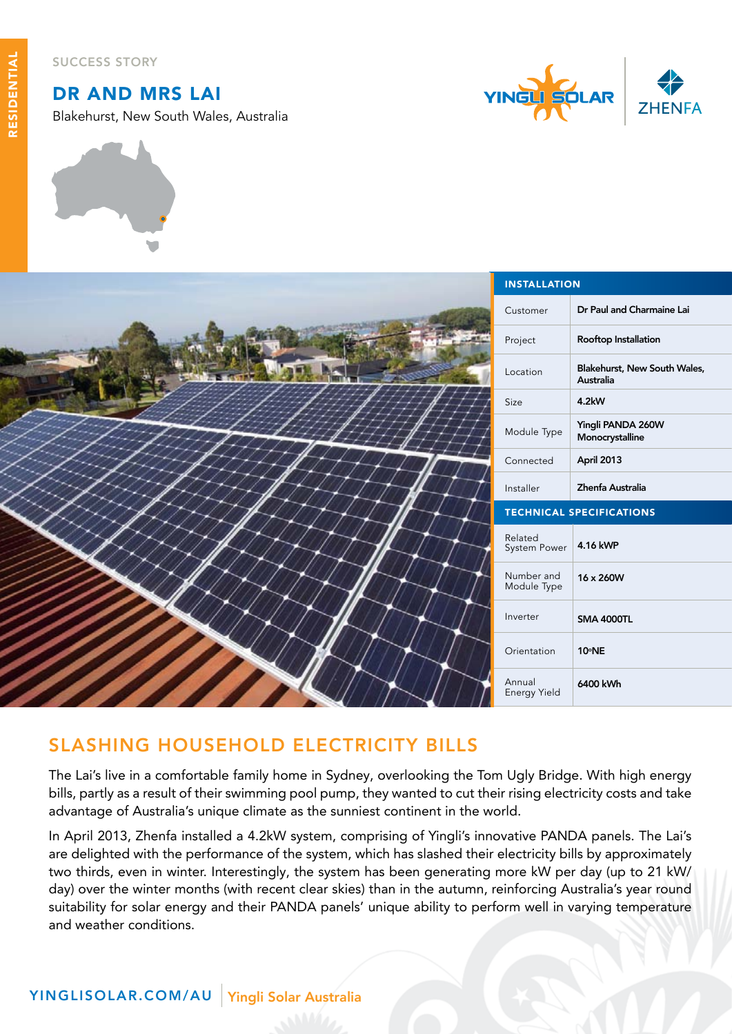Success Story

## dr and mrs lai

Blakehurst, New South Wales, Australia





| <b>INSTALLATION</b>             |                                           |
|---------------------------------|-------------------------------------------|
| Customer                        | Dr Paul and Charmaine Lai                 |
| Project                         | Rooftop Installation                      |
| Location                        | Blakehurst, New South Wales,<br>Australia |
| Size                            | 4.2kW                                     |
| Module Type                     | Yingli PANDA 260W<br>Monocrystalline      |
| Connected                       | April 2013                                |
| Installer                       | Zhenfa Australia                          |
| <b>TECHNICAL SPECIFICATIONS</b> |                                           |
| Related<br>System Power         | 4.16 kWP                                  |
| Number and<br>Module Type       | 16 x 260W                                 |
| Inverter                        | <b>SMA 4000TL</b>                         |
| Orientation                     | 10°NE                                     |
| Annual<br>Energy Yield          | 6400 kWh                                  |

## slashing household electricity bills

The Lai's live in a comfortable family home in Sydney, overlooking the Tom Ugly Bridge. With high energy bills, partly as a result of their swimming pool pump, they wanted to cut their rising electricity costs and take advantage of Australia's unique climate as the sunniest continent in the world.

In April 2013, Zhenfa installed a 4.2kW system, comprising of Yingli's innovative PANDA panels. The Lai's are delighted with the performance of the system, which has slashed their electricity bills by approximately two thirds, even in winter. Interestingly, the system has been generating more kW per day (up to 21 kW/ day) over the winter months (with recent clear skies) than in the autumn, reinforcing Australia's year round suitability for solar energy and their PANDA panels' unique ability to perform well in varying temperature and weather conditions.